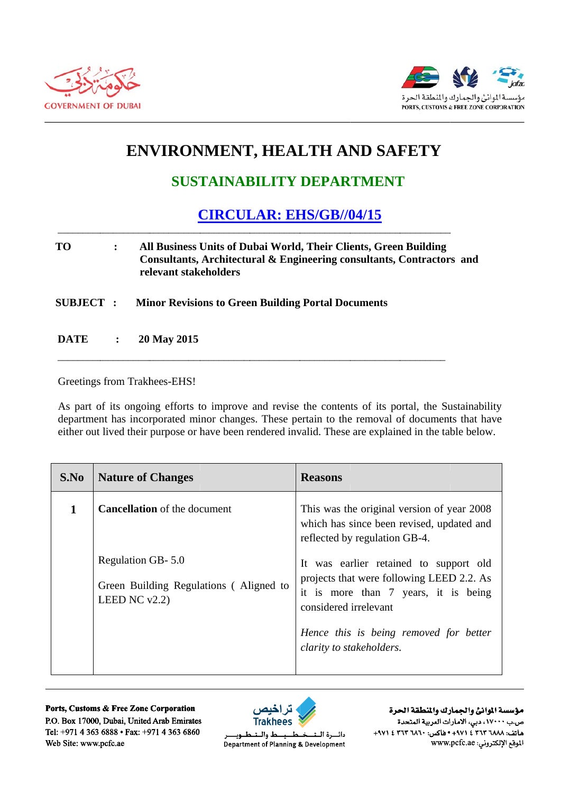



## ENVIRONMENT, HEALTH AND SAFETY

## **SUSTAINABILITY DEPARTMENT**

## **CIRCULAR: EHS/GB//04/15**

## **TO**  $\ddot{\cdot}$ All Business Units of Dubai World, Their Clients, Green Building Consultants, Architectural & Engineering consultants, Contractors and relevant stakeholders

**SUBJECT: Minor Revisions to Green Building Portal Documents** 

**DATE**  $\ddot{\cdot}$ 20 May 2015

Greetings from Trakhees-EHS!

As part of its ongoing efforts to improve and revise the contents of its portal, the Sustainability department has incorporated minor changes. These pertain to the removal of documents that have either out lived their purpose or have been rendered invalid. These are explained in the table below.

| S.No | <b>Nature of Changes</b>                                                        | <b>Reasons</b>                                                                                                                                                                                 |
|------|---------------------------------------------------------------------------------|------------------------------------------------------------------------------------------------------------------------------------------------------------------------------------------------|
| 1    | <b>Cancellation</b> of the document                                             | This was the original version of year 2008<br>which has since been revised, updated and<br>reflected by regulation GB-4.                                                                       |
|      | Regulation GB-5.0<br>Green Building Regulations (Aligned to<br>LEED NC $v2.2$ ) | It was earlier retained to support old<br>projects that were following LEED 2.2. As<br>it is more than 7 years, it is being<br>considered irrelevant<br>Hence this is being removed for better |
|      |                                                                                 | clarity to stakeholders.                                                                                                                                                                       |

Ports, Customs & Free Zone Corporation P.O. Box 17000, Dubai, United Arab Emirates Tel: +971 4 363 6888 • Fax: +971 4 363 6860 Web Site: www.pcfc.ae



ط والــتـ دائسرة البت طــوب Department of Planning & Development

مؤسسة الموانئ والجمارك والنطقة الحرة ص.ب ١٧٠٠٠، دبي، الأمارات العربية المتحدة +٩٧١ ٤ ٢٦٣ ١٨٨٢ ٢٦٢ ١٤ ٠٠٠١٤ ٠٥١٤ ٠٠٠١ ١٩٧١. الموقع الإلكتروني: www.pcfc.ae